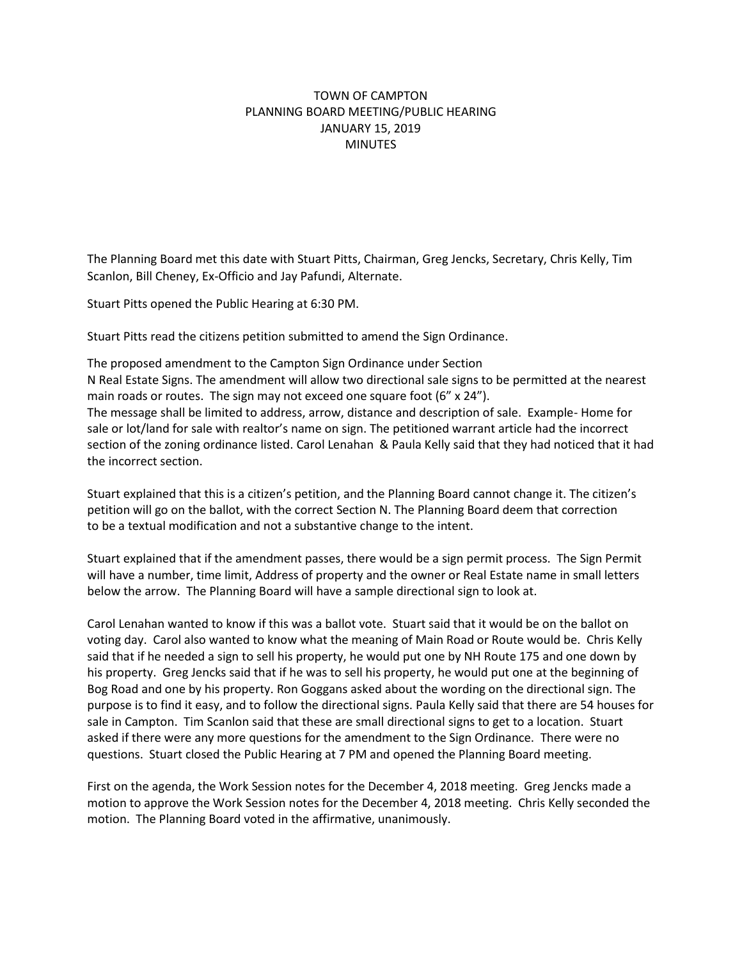## TOWN OF CAMPTON PLANNING BOARD MEETING/PUBLIC HEARING JANUARY 15, 2019 **MINUTES**

The Planning Board met this date with Stuart Pitts, Chairman, Greg Jencks, Secretary, Chris Kelly, Tim Scanlon, Bill Cheney, Ex-Officio and Jay Pafundi, Alternate.

Stuart Pitts opened the Public Hearing at 6:30 PM.

Stuart Pitts read the citizens petition submitted to amend the Sign Ordinance.

The proposed amendment to the Campton Sign Ordinance under Section N Real Estate Signs. The amendment will allow two directional sale signs to be permitted at the nearest main roads or routes. The sign may not exceed one square foot  $(6'' \times 24'')$ . The message shall be limited to address, arrow, distance and description of sale. Example- Home for sale or lot/land for sale with realtor's name on sign. The petitioned warrant article had the incorrect section of the zoning ordinance listed. Carol Lenahan & Paula Kelly said that they had noticed that it had the incorrect section.

Stuart explained that this is a citizen's petition, and the Planning Board cannot change it. The citizen's petition will go on the ballot, with the correct Section N. The Planning Board deem that correction to be a textual modification and not a substantive change to the intent.

Stuart explained that if the amendment passes, there would be a sign permit process. The Sign Permit will have a number, time limit, Address of property and the owner or Real Estate name in small letters below the arrow. The Planning Board will have a sample directional sign to look at.

Carol Lenahan wanted to know if this was a ballot vote. Stuart said that it would be on the ballot on voting day. Carol also wanted to know what the meaning of Main Road or Route would be. Chris Kelly said that if he needed a sign to sell his property, he would put one by NH Route 175 and one down by his property. Greg Jencks said that if he was to sell his property, he would put one at the beginning of Bog Road and one by his property. Ron Goggans asked about the wording on the directional sign. The purpose is to find it easy, and to follow the directional signs. Paula Kelly said that there are 54 houses for sale in Campton. Tim Scanlon said that these are small directional signs to get to a location. Stuart asked if there were any more questions for the amendment to the Sign Ordinance. There were no questions. Stuart closed the Public Hearing at 7 PM and opened the Planning Board meeting.

First on the agenda, the Work Session notes for the December 4, 2018 meeting. Greg Jencks made a motion to approve the Work Session notes for the December 4, 2018 meeting. Chris Kelly seconded the motion. The Planning Board voted in the affirmative, unanimously.